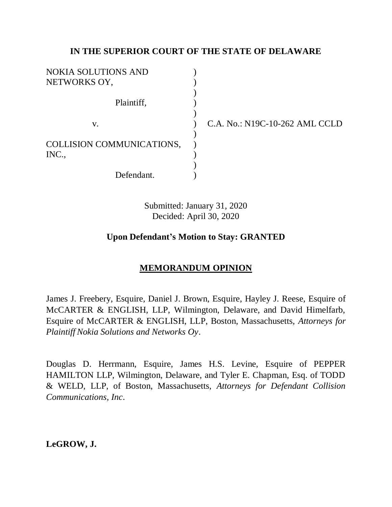### **IN THE SUPERIOR COURT OF THE STATE OF DELAWARE**

| <b>NOKIA SOLUTIONS AND</b> |  |
|----------------------------|--|
| NETWORKS OY,               |  |
|                            |  |
| Plaintiff,                 |  |
|                            |  |
| V.                         |  |
|                            |  |
| COLLISION COMMUNICATIONS,  |  |
| INC.,                      |  |
|                            |  |
| Defendant.                 |  |

C.A. No.: N19C-10-262 AML CCLD

Submitted: January 31, 2020 Decided: April 30, 2020

### **Upon Defendant's Motion to Stay: GRANTED**

# **MEMORANDUM OPINION**

James J. Freebery, Esquire, Daniel J. Brown, Esquire, Hayley J. Reese, Esquire of McCARTER & ENGLISH, LLP, Wilmington, Delaware, and David Himelfarb, Esquire of McCARTER & ENGLISH, LLP, Boston, Massachusetts, *Attorneys for Plaintiff Nokia Solutions and Networks Oy*.

Douglas D. Herrmann, Esquire, James H.S. Levine, Esquire of PEPPER HAMILTON LLP, Wilmington, Delaware, and Tyler E. Chapman, Esq. of TODD & WELD, LLP, of Boston, Massachusetts, *Attorneys for Defendant Collision Communications, Inc*.

**LeGROW, J.**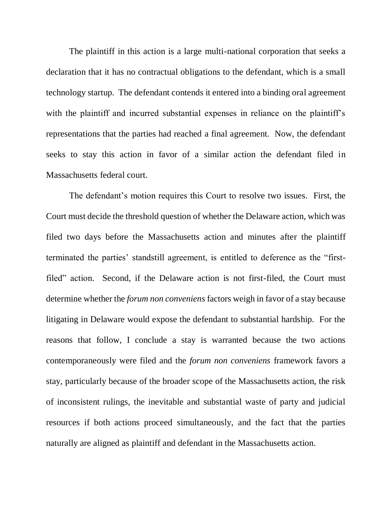The plaintiff in this action is a large multi-national corporation that seeks a declaration that it has no contractual obligations to the defendant, which is a small technology startup. The defendant contends it entered into a binding oral agreement with the plaintiff and incurred substantial expenses in reliance on the plaintiff's representations that the parties had reached a final agreement. Now, the defendant seeks to stay this action in favor of a similar action the defendant filed in Massachusetts federal court.

The defendant's motion requires this Court to resolve two issues. First, the Court must decide the threshold question of whether the Delaware action, which was filed two days before the Massachusetts action and minutes after the plaintiff terminated the parties' standstill agreement, is entitled to deference as the "firstfiled" action. Second, if the Delaware action is not first-filed, the Court must determine whether the *forum non conveniens* factors weigh in favor of a stay because litigating in Delaware would expose the defendant to substantial hardship. For the reasons that follow, I conclude a stay is warranted because the two actions contemporaneously were filed and the *forum non conveniens* framework favors a stay, particularly because of the broader scope of the Massachusetts action, the risk of inconsistent rulings, the inevitable and substantial waste of party and judicial resources if both actions proceed simultaneously, and the fact that the parties naturally are aligned as plaintiff and defendant in the Massachusetts action.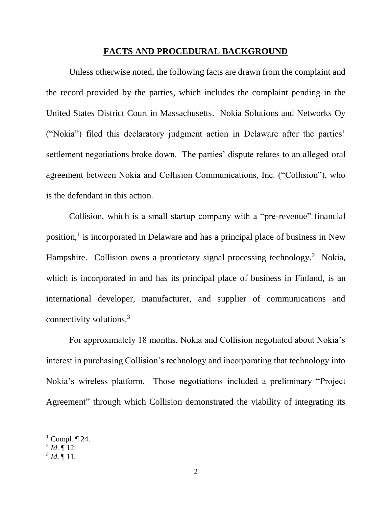#### **FACTS AND PROCEDURAL BACKGROUND**

Unless otherwise noted, the following facts are drawn from the complaint and the record provided by the parties, which includes the complaint pending in the United States District Court in Massachusetts. Nokia Solutions and Networks Oy ("Nokia") filed this declaratory judgment action in Delaware after the parties' settlement negotiations broke down. The parties' dispute relates to an alleged oral agreement between Nokia and Collision Communications, Inc. ("Collision"), who is the defendant in this action.

Collision, which is a small startup company with a "pre-revenue" financial position,<sup>1</sup> is incorporated in Delaware and has a principal place of business in New Hampshire. Collision owns a proprietary signal processing technology.<sup>2</sup> Nokia, which is incorporated in and has its principal place of business in Finland, is an international developer, manufacturer, and supplier of communications and connectivity solutions.<sup>3</sup>

For approximately 18 months, Nokia and Collision negotiated about Nokia's interest in purchasing Collision's technology and incorporating that technology into Nokia's wireless platform. Those negotiations included a preliminary "Project Agreement" through which Collision demonstrated the viability of integrating its

 $<sup>1</sup>$  Compl.  $\P$  24.</sup>

 $^{2}$  *Id*.  $\llbracket$  12.

 $3$  *Id.*  $\P$  11.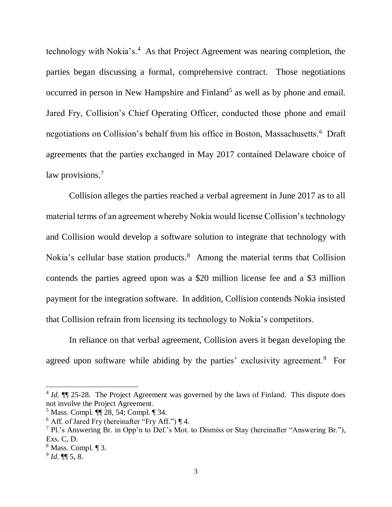technology with Nokia's.<sup>4</sup> As that Project Agreement was nearing completion, the parties began discussing a formal, comprehensive contract. Those negotiations occurred in person in New Hampshire and Finland<sup>5</sup> as well as by phone and email. Jared Fry, Collision's Chief Operating Officer, conducted those phone and email negotiations on Collision's behalf from his office in Boston, Massachusetts.<sup>6</sup> Draft agreements that the parties exchanged in May 2017 contained Delaware choice of law provisions.<sup>7</sup>

Collision alleges the parties reached a verbal agreement in June 2017 as to all material terms of an agreement whereby Nokia would license Collision's technology and Collision would develop a software solution to integrate that technology with Nokia's cellular base station products.<sup>8</sup> Among the material terms that Collision contends the parties agreed upon was a \$20 million license fee and a \$3 million payment for the integration software. In addition, Collision contends Nokia insisted that Collision refrain from licensing its technology to Nokia's competitors.

In reliance on that verbal agreement, Collision avers it began developing the agreed upon software while abiding by the parties' exclusivity agreement.<sup>9</sup> For

<sup>&</sup>lt;sup>4</sup> *Id*. **[14. ]** 25-28. The Project Agreement was governed by the laws of Finland. This dispute does not involve the Project Agreement.

<sup>5</sup> Mass. Compl. ¶¶ 28, 54; Compl. ¶ 34.

 $6$  Aff. of Jared Fry (hereinafter "Fry Aff.")  $\P$  4.

<sup>7</sup> Pl.'s Answering Br. in Opp'n to Def.'s Mot. to Dismiss or Stay (hereinafter "Answering Br."), Exs. C, D.

<sup>8</sup> Mass. Compl. ¶ 3.

<sup>9</sup> *Id*. ¶¶ 5, 8.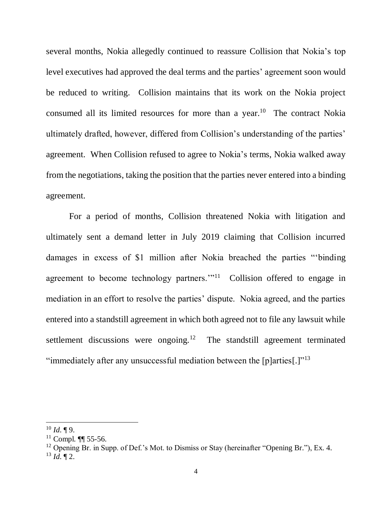several months, Nokia allegedly continued to reassure Collision that Nokia's top level executives had approved the deal terms and the parties' agreement soon would be reduced to writing. Collision maintains that its work on the Nokia project consumed all its limited resources for more than a year.<sup>10</sup> The contract Nokia ultimately drafted, however, differed from Collision's understanding of the parties' agreement. When Collision refused to agree to Nokia's terms, Nokia walked away from the negotiations, taking the position that the parties never entered into a binding agreement.

For a period of months, Collision threatened Nokia with litigation and ultimately sent a demand letter in July 2019 claiming that Collision incurred damages in excess of \$1 million after Nokia breached the parties "'binding agreement to become technology partners."<sup>11</sup> Collision offered to engage in mediation in an effort to resolve the parties' dispute. Nokia agreed, and the parties entered into a standstill agreement in which both agreed not to file any lawsuit while settlement discussions were ongoing.<sup>12</sup> The standstill agreement terminated "immediately after any unsuccessful mediation between the [p]arties[.] $"^{13}$ 

 $10$  *Id.* ¶ 9.

<sup>&</sup>lt;sup>11</sup> Compl.  $\P$  55-56.

<sup>&</sup>lt;sup>12</sup> Opening Br. in Supp. of Def.'s Mot. to Dismiss or Stay (hereinafter "Opening Br."), Ex. 4.  $13$  *Id.* 12.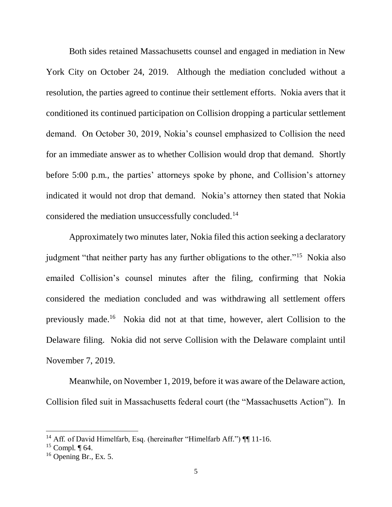Both sides retained Massachusetts counsel and engaged in mediation in New York City on October 24, 2019. Although the mediation concluded without a resolution, the parties agreed to continue their settlement efforts. Nokia avers that it conditioned its continued participation on Collision dropping a particular settlement demand. On October 30, 2019, Nokia's counsel emphasized to Collision the need for an immediate answer as to whether Collision would drop that demand. Shortly before 5:00 p.m., the parties' attorneys spoke by phone, and Collision's attorney indicated it would not drop that demand. Nokia's attorney then stated that Nokia considered the mediation unsuccessfully concluded.<sup>14</sup>

Approximately two minutes later, Nokia filed this action seeking a declaratory judgment "that neither party has any further obligations to the other."<sup>15</sup> Nokia also emailed Collision's counsel minutes after the filing, confirming that Nokia considered the mediation concluded and was withdrawing all settlement offers previously made.<sup>16</sup> Nokia did not at that time, however, alert Collision to the Delaware filing. Nokia did not serve Collision with the Delaware complaint until November 7, 2019.

Meanwhile, on November 1, 2019, before it was aware of the Delaware action, Collision filed suit in Massachusetts federal court (the "Massachusetts Action"). In

<sup>&</sup>lt;sup>14</sup> Aff. of David Himelfarb, Esq. (hereinafter "Himelfarb Aff.") [[11-16.

 $15$  Compl.  $\P$  64.

 $16$  Opening Br., Ex. 5.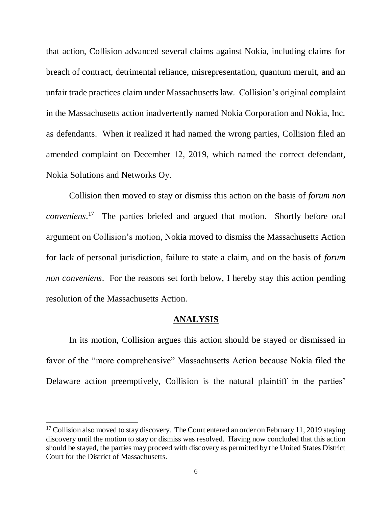that action, Collision advanced several claims against Nokia, including claims for breach of contract, detrimental reliance, misrepresentation, quantum meruit, and an unfair trade practices claim under Massachusetts law. Collision's original complaint in the Massachusetts action inadvertently named Nokia Corporation and Nokia, Inc. as defendants. When it realized it had named the wrong parties, Collision filed an amended complaint on December 12, 2019, which named the correct defendant, Nokia Solutions and Networks Oy.

Collision then moved to stay or dismiss this action on the basis of *forum non conveniens*. 17 The parties briefed and argued that motion. Shortly before oral argument on Collision's motion, Nokia moved to dismiss the Massachusetts Action for lack of personal jurisdiction, failure to state a claim, and on the basis of *forum non conveniens*. For the reasons set forth below, I hereby stay this action pending resolution of the Massachusetts Action.

#### **ANALYSIS**

In its motion, Collision argues this action should be stayed or dismissed in favor of the "more comprehensive" Massachusetts Action because Nokia filed the Delaware action preemptively, Collision is the natural plaintiff in the parties'

 $17$  Collision also moved to stay discovery. The Court entered an order on February 11, 2019 staying discovery until the motion to stay or dismiss was resolved. Having now concluded that this action should be stayed, the parties may proceed with discovery as permitted by the United States District Court for the District of Massachusetts.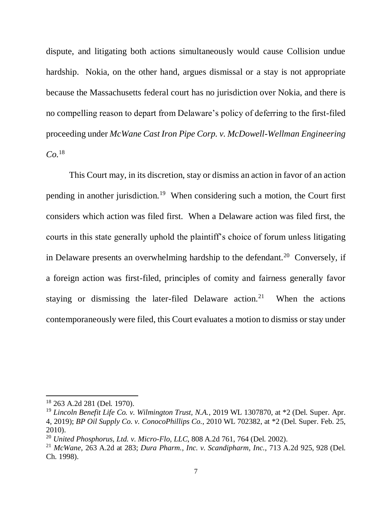dispute, and litigating both actions simultaneously would cause Collision undue hardship. Nokia, on the other hand, argues dismissal or a stay is not appropriate because the Massachusetts federal court has no jurisdiction over Nokia, and there is no compelling reason to depart from Delaware's policy of deferring to the first-filed proceeding under *McWane Cast Iron Pipe Corp. v. McDowell-Wellman Engineering Co.*<sup>18</sup>

This Court may, in its discretion, stay or dismiss an action in favor of an action pending in another jurisdiction.<sup>19</sup> When considering such a motion, the Court first considers which action was filed first. When a Delaware action was filed first, the courts in this state generally uphold the plaintiff's choice of forum unless litigating in Delaware presents an overwhelming hardship to the defendant.<sup>20</sup> Conversely, if a foreign action was first-filed, principles of comity and fairness generally favor staying or dismissing the later-filed Delaware action.<sup>21</sup> When the actions contemporaneously were filed, this Court evaluates a motion to dismiss or stay under

<sup>18</sup> 263 A.2d 281 (Del. 1970).

<sup>19</sup> *Lincoln Benefit Life Co. v. Wilmington Trust, N.A.*, 2019 WL 1307870, at \*2 (Del. Super. Apr. 4, 2019); *BP Oil Supply Co. v. ConocoPhillips Co.*, 2010 WL 702382, at \*2 (Del. Super. Feb. 25, 2010).

<sup>20</sup> *United Phosphorus, Ltd. v. Micro-Flo, LLC*, 808 A.2d 761, 764 (Del. 2002).

<sup>21</sup> *McWane*, 263 A.2d at 283; *Dura Pharm., Inc. v. Scandipharm, Inc.*, 713 A.2d 925, 928 (Del. Ch. 1998).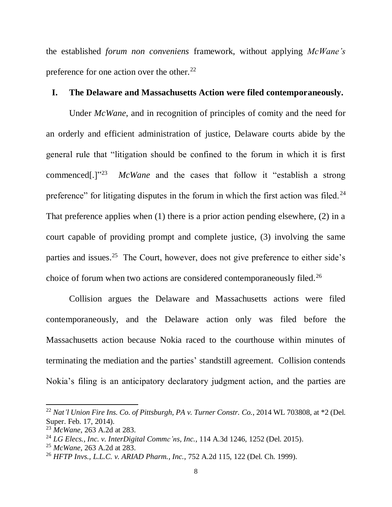the established *forum non conveniens* framework, without applying *McWane's* preference for one action over the other.<sup>22</sup>

### **I. The Delaware and Massachusetts Action were filed contemporaneously.**

Under *McWane*, and in recognition of principles of comity and the need for an orderly and efficient administration of justice, Delaware courts abide by the general rule that "litigation should be confined to the forum in which it is first commenced[.]"<sup>23</sup> *McWane* and the cases that follow it "establish a strong preference" for litigating disputes in the forum in which the first action was filed.<sup>24</sup> That preference applies when (1) there is a prior action pending elsewhere, (2) in a court capable of providing prompt and complete justice, (3) involving the same parties and issues.<sup>25</sup> The Court, however, does not give preference to either side's choice of forum when two actions are considered contemporaneously filed.<sup>26</sup>

Collision argues the Delaware and Massachusetts actions were filed contemporaneously, and the Delaware action only was filed before the Massachusetts action because Nokia raced to the courthouse within minutes of terminating the mediation and the parties' standstill agreement. Collision contends Nokia's filing is an anticipatory declaratory judgment action, and the parties are

<sup>22</sup> *Nat'l Union Fire Ins. Co. of Pittsburgh, PA v. Turner Constr. Co.*, 2014 WL 703808, at \*2 (Del. Super. Feb. 17, 2014).

<sup>23</sup> *McWane*, 263 A.2d at 283.

<sup>24</sup> *LG Elecs., Inc. v. InterDigital Commc'ns, Inc.*, 114 A.3d 1246, 1252 (Del. 2015).

<sup>25</sup> *McWane*, 263 A.2d at 283.

<sup>26</sup> *HFTP Invs., L.L.C. v. ARIAD Pharm., Inc.*, 752 A.2d 115, 122 (Del. Ch. 1999).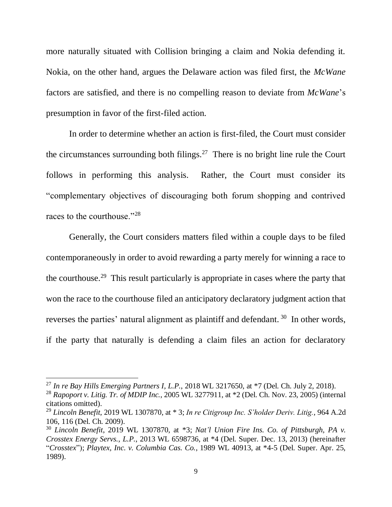more naturally situated with Collision bringing a claim and Nokia defending it. Nokia, on the other hand, argues the Delaware action was filed first, the *McWane* factors are satisfied, and there is no compelling reason to deviate from *McWane*'s presumption in favor of the first-filed action.

In order to determine whether an action is first-filed, the Court must consider the circumstances surrounding both filings.<sup>27</sup> There is no bright line rule the Court follows in performing this analysis. Rather, the Court must consider its "complementary objectives of discouraging both forum shopping and contrived races to the courthouse."<sup>28</sup>

Generally, the Court considers matters filed within a couple days to be filed contemporaneously in order to avoid rewarding a party merely for winning a race to the courthouse.<sup>29</sup> This result particularly is appropriate in cases where the party that won the race to the courthouse filed an anticipatory declaratory judgment action that reverses the parties' natural alignment as plaintiff and defendant.<sup>30</sup> In other words, if the party that naturally is defending a claim files an action for declaratory

<sup>27</sup> *In re Bay Hills Emerging Partners I, L.P.*, 2018 WL 3217650, at \*7 (Del. Ch. July 2, 2018).

<sup>28</sup> *Rapoport v. Litig. Tr. of MDIP Inc.*, 2005 WL 3277911, at \*2 (Del. Ch. Nov. 23, 2005) (internal citations omitted).

<sup>29</sup> *Lincoln Benefit*, 2019 WL 1307870, at \* 3; *In re Citigroup Inc. S'holder Deriv. Litig.*, 964 A.2d 106, 116 (Del. Ch. 2009).

<sup>30</sup> *Lincoln Benefit*, 2019 WL 1307870, at \*3; *Nat'l Union Fire Ins. Co. of Pittsburgh, PA v. Crosstex Energy Servs., L.P.*, 2013 WL 6598736, at \*4 (Del. Super. Dec. 13, 2013) (hereinafter "*Crosstex*"); *Playtex, Inc. v. Columbia Cas. Co.*, 1989 WL 40913, at \*4-5 (Del. Super. Apr. 25, 1989).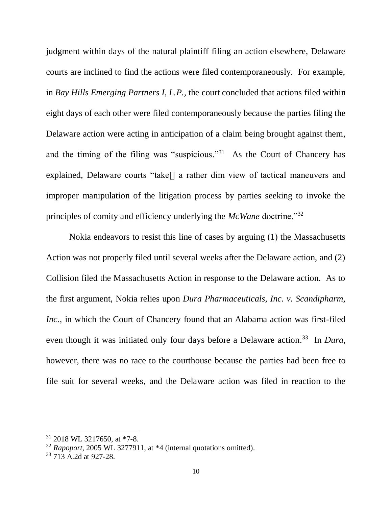judgment within days of the natural plaintiff filing an action elsewhere, Delaware courts are inclined to find the actions were filed contemporaneously. For example, in *Bay Hills Emerging Partners I, L.P.*, the court concluded that actions filed within eight days of each other were filed contemporaneously because the parties filing the Delaware action were acting in anticipation of a claim being brought against them, and the timing of the filing was "suspicious."<sup>31</sup> As the Court of Chancery has explained, Delaware courts "take[] a rather dim view of tactical maneuvers and improper manipulation of the litigation process by parties seeking to invoke the principles of comity and efficiency underlying the *McWane* doctrine."<sup>32</sup>

Nokia endeavors to resist this line of cases by arguing (1) the Massachusetts Action was not properly filed until several weeks after the Delaware action, and (2) Collision filed the Massachusetts Action in response to the Delaware action. As to the first argument, Nokia relies upon *Dura Pharmaceuticals, Inc. v. Scandipharm, Inc.*, in which the Court of Chancery found that an Alabama action was first-filed even though it was initiated only four days before a Delaware action. <sup>33</sup> In *Dura*, however, there was no race to the courthouse because the parties had been free to file suit for several weeks, and the Delaware action was filed in reaction to the

<sup>31</sup> 2018 WL 3217650, at \*7-8.

<sup>32</sup> *Rapoport*, 2005 WL 3277911, at \*4 (internal quotations omitted).

<sup>33</sup> 713 A.2d at 927-28.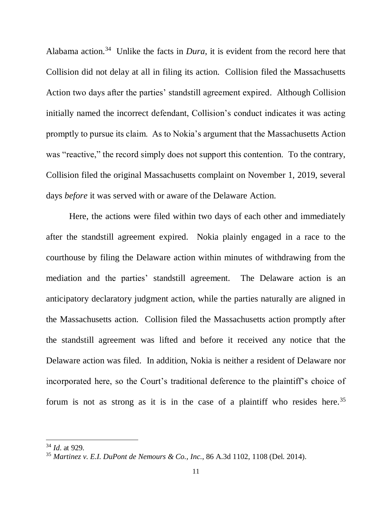Alabama action.<sup>34</sup> Unlike the facts in *Dura*, it is evident from the record here that Collision did not delay at all in filing its action. Collision filed the Massachusetts Action two days after the parties' standstill agreement expired. Although Collision initially named the incorrect defendant, Collision's conduct indicates it was acting promptly to pursue its claim. As to Nokia's argument that the Massachusetts Action was "reactive," the record simply does not support this contention. To the contrary, Collision filed the original Massachusetts complaint on November 1, 2019, several days *before* it was served with or aware of the Delaware Action.

Here, the actions were filed within two days of each other and immediately after the standstill agreement expired. Nokia plainly engaged in a race to the courthouse by filing the Delaware action within minutes of withdrawing from the mediation and the parties' standstill agreement. The Delaware action is an anticipatory declaratory judgment action, while the parties naturally are aligned in the Massachusetts action. Collision filed the Massachusetts action promptly after the standstill agreement was lifted and before it received any notice that the Delaware action was filed. In addition, Nokia is neither a resident of Delaware nor incorporated here, so the Court's traditional deference to the plaintiff's choice of forum is not as strong as it is in the case of a plaintiff who resides here.<sup>35</sup>

<sup>34</sup> *Id*. at 929.

<sup>35</sup> *Martinez v. E.I. DuPont de Nemours & Co., Inc.*, 86 A.3d 1102, 1108 (Del. 2014).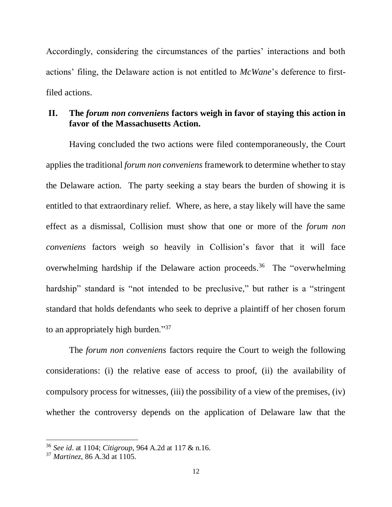Accordingly, considering the circumstances of the parties' interactions and both actions' filing, the Delaware action is not entitled to *McWane*'s deference to firstfiled actions.

## **II. The** *forum non conveniens* **factors weigh in favor of staying this action in favor of the Massachusetts Action.**

Having concluded the two actions were filed contemporaneously, the Court applies the traditional *forum non conveniens* framework to determine whether to stay the Delaware action. The party seeking a stay bears the burden of showing it is entitled to that extraordinary relief. Where, as here, a stay likely will have the same effect as a dismissal, Collision must show that one or more of the *forum non conveniens* factors weigh so heavily in Collision's favor that it will face overwhelming hardship if the Delaware action proceeds. 36 The "overwhelming hardship" standard is "not intended to be preclusive," but rather is a "stringent standard that holds defendants who seek to deprive a plaintiff of her chosen forum to an appropriately high burden."<sup>37</sup>

The *forum non conveniens* factors require the Court to weigh the following considerations: (i) the relative ease of access to proof, (ii) the availability of compulsory process for witnesses, (iii) the possibility of a view of the premises, (iv) whether the controversy depends on the application of Delaware law that the

<sup>36</sup> *See id*. at 1104; *Citigroup*, 964 A.2d at 117 & n.16.

<sup>37</sup> *Martinez*, 86 A.3d at 1105.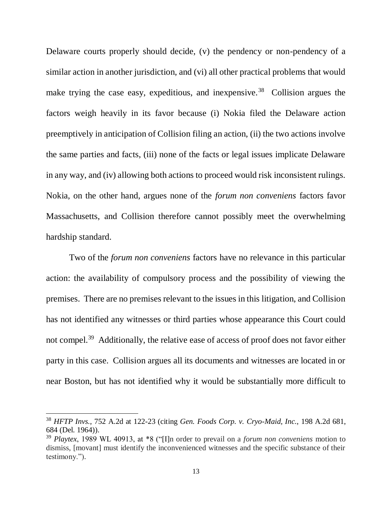Delaware courts properly should decide, (v) the pendency or non-pendency of a similar action in another jurisdiction, and (vi) all other practical problems that would make trying the case easy, expeditious, and inexpensive.<sup>38</sup> Collision argues the factors weigh heavily in its favor because (i) Nokia filed the Delaware action preemptively in anticipation of Collision filing an action, (ii) the two actions involve the same parties and facts, (iii) none of the facts or legal issues implicate Delaware in any way, and (iv) allowing both actions to proceed would risk inconsistent rulings. Nokia, on the other hand, argues none of the *forum non conveniens* factors favor Massachusetts, and Collision therefore cannot possibly meet the overwhelming hardship standard.

Two of the *forum non conveniens* factors have no relevance in this particular action: the availability of compulsory process and the possibility of viewing the premises. There are no premises relevant to the issues in this litigation, and Collision has not identified any witnesses or third parties whose appearance this Court could not compel.<sup>39</sup> Additionally, the relative ease of access of proof does not favor either party in this case. Collision argues all its documents and witnesses are located in or near Boston, but has not identified why it would be substantially more difficult to

<sup>38</sup> *HFTP Invs.*, 752 A.2d at 122-23 (citing *Gen. Foods Corp. v. Cryo-Maid, Inc.*, 198 A.2d 681, 684 (Del. 1964)).

<sup>39</sup> *Playtex*, 1989 WL 40913, at \*8 ("[I]n order to prevail on a *forum non conveniens* motion to dismiss, [movant] must identify the inconvenienced witnesses and the specific substance of their testimony.").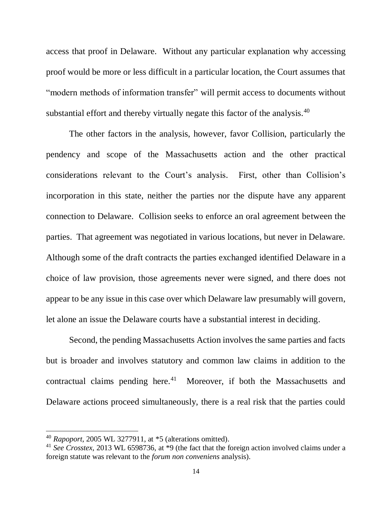access that proof in Delaware. Without any particular explanation why accessing proof would be more or less difficult in a particular location, the Court assumes that "modern methods of information transfer" will permit access to documents without substantial effort and thereby virtually negate this factor of the analysis.<sup>40</sup>

The other factors in the analysis, however, favor Collision, particularly the pendency and scope of the Massachusetts action and the other practical considerations relevant to the Court's analysis. First, other than Collision's incorporation in this state, neither the parties nor the dispute have any apparent connection to Delaware. Collision seeks to enforce an oral agreement between the parties. That agreement was negotiated in various locations, but never in Delaware. Although some of the draft contracts the parties exchanged identified Delaware in a choice of law provision, those agreements never were signed, and there does not appear to be any issue in this case over which Delaware law presumably will govern, let alone an issue the Delaware courts have a substantial interest in deciding.

Second, the pending Massachusetts Action involves the same parties and facts but is broader and involves statutory and common law claims in addition to the contractual claims pending here. $41$  Moreover, if both the Massachusetts and Delaware actions proceed simultaneously, there is a real risk that the parties could

<sup>40</sup> *Rapoport*, 2005 WL 3277911, at \*5 (alterations omitted).

<sup>41</sup> *See Crosstex*, 2013 WL 6598736, at \*9 (the fact that the foreign action involved claims under a foreign statute was relevant to the *forum non conveniens* analysis).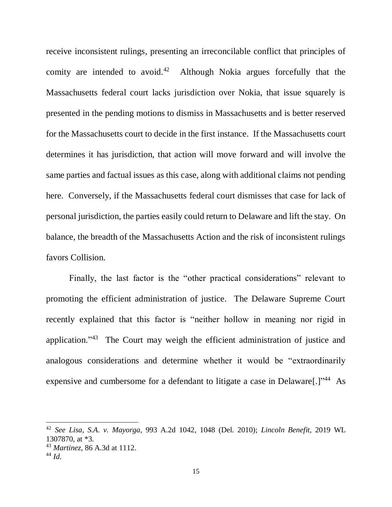receive inconsistent rulings, presenting an irreconcilable conflict that principles of comity are intended to avoid.<sup>42</sup> Although Nokia argues forcefully that the Massachusetts federal court lacks jurisdiction over Nokia, that issue squarely is presented in the pending motions to dismiss in Massachusetts and is better reserved for the Massachusetts court to decide in the first instance. If the Massachusetts court determines it has jurisdiction, that action will move forward and will involve the same parties and factual issues as this case, along with additional claims not pending here. Conversely, if the Massachusetts federal court dismisses that case for lack of personal jurisdiction, the parties easily could return to Delaware and lift the stay. On balance, the breadth of the Massachusetts Action and the risk of inconsistent rulings favors Collision.

Finally, the last factor is the "other practical considerations" relevant to promoting the efficient administration of justice. The Delaware Supreme Court recently explained that this factor is "neither hollow in meaning nor rigid in application."<sup>43</sup> The Court may weigh the efficient administration of justice and analogous considerations and determine whether it would be "extraordinarily expensive and cumbersome for a defendant to litigate a case in Delaware[.]"<sup>44</sup> As

<sup>42</sup> *See Lisa, S.A. v. Mayorga*, 993 A.2d 1042, 1048 (Del. 2010); *Lincoln Benefit*, 2019 WL 1307870, at \*3.

<sup>43</sup> *Martinez*, 86 A.3d at 1112.

<sup>44</sup> *Id*.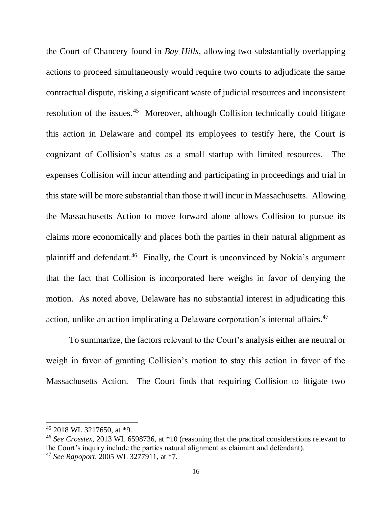the Court of Chancery found in *Bay Hills*, allowing two substantially overlapping actions to proceed simultaneously would require two courts to adjudicate the same contractual dispute, risking a significant waste of judicial resources and inconsistent resolution of the issues.<sup>45</sup> Moreover, although Collision technically could litigate this action in Delaware and compel its employees to testify here, the Court is cognizant of Collision's status as a small startup with limited resources. The expenses Collision will incur attending and participating in proceedings and trial in this state will be more substantial than those it will incur in Massachusetts. Allowing the Massachusetts Action to move forward alone allows Collision to pursue its claims more economically and places both the parties in their natural alignment as plaintiff and defendant.<sup>46</sup> Finally, the Court is unconvinced by Nokia's argument that the fact that Collision is incorporated here weighs in favor of denying the motion. As noted above, Delaware has no substantial interest in adjudicating this action, unlike an action implicating a Delaware corporation's internal affairs.<sup>47</sup>

To summarize, the factors relevant to the Court's analysis either are neutral or weigh in favor of granting Collision's motion to stay this action in favor of the Massachusetts Action. The Court finds that requiring Collision to litigate two

<sup>45</sup> 2018 WL 3217650, at \*9.

<sup>46</sup> *See Crosstex*, 2013 WL 6598736, at \*10 (reasoning that the practical considerations relevant to the Court's inquiry include the parties natural alignment as claimant and defendant). <sup>47</sup> *See Rapoport*, 2005 WL 3277911, at \*7.